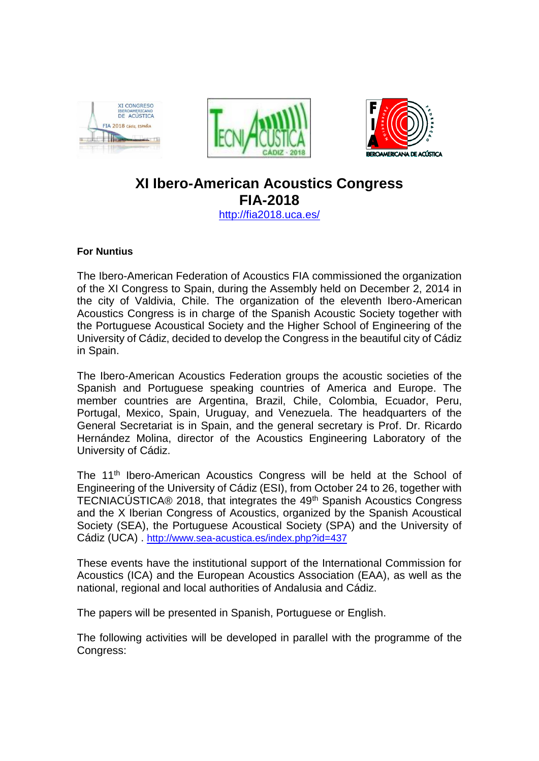





## **XI Ibero-American Acoustics Congress FIA-2018** <http://fia2018.uca.es/>

## **For Nuntius**

The Ibero-American Federation of Acoustics FIA commissioned the organization of the XI Congress to Spain, during the Assembly held on December 2, 2014 in the city of Valdivia, Chile. The organization of the eleventh Ibero-American Acoustics Congress is in charge of the Spanish Acoustic Society together with the Portuguese Acoustical Society and the Higher School of Engineering of the University of Cádiz, decided to develop the Congress in the beautiful city of Cádiz in Spain.

The Ibero-American Acoustics Federation groups the acoustic societies of the Spanish and Portuguese speaking countries of America and Europe. The member countries are Argentina, Brazil, Chile, Colombia, Ecuador, Peru, Portugal, Mexico, Spain, Uruguay, and Venezuela. The headquarters of the General Secretariat is in Spain, and the general secretary is Prof. Dr. Ricardo Hernández Molina, director of the Acoustics Engineering Laboratory of the University of Cádiz.

The 11<sup>th</sup> Ibero-American Acoustics Congress will be held at the School of Engineering of the University of Cádiz (ESI), from October 24 to 26, together with TECNIACÚSTICA® 2018, that integrates the 49<sup>th</sup> Spanish Acoustics Congress and the X Iberian Congress of Acoustics, organized by the Spanish Acoustical Society (SEA), the Portuguese Acoustical Society (SPA) and the University of Cádiz (UCA) . <http://www.sea-acustica.es/index.php?id=437>

These events have the institutional support of the International Commission for Acoustics (ICA) and the European Acoustics Association (EAA), as well as the national, regional and local authorities of Andalusia and Cádiz.

The papers will be presented in Spanish, Portuguese or English.

The following activities will be developed in parallel with the programme of the Congress: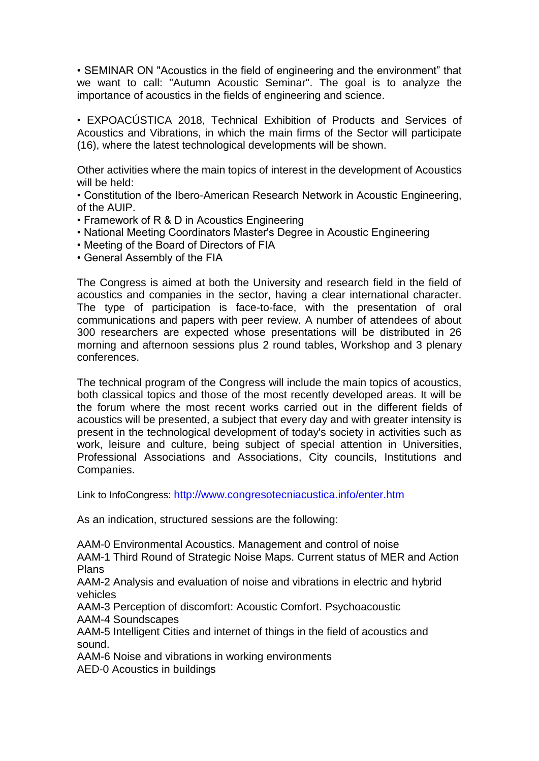• SEMINAR ON "Acoustics in the field of engineering and the environment" that we want to call: "Autumn Acoustic Seminar". The goal is to analyze the importance of acoustics in the fields of engineering and science.

• EXPOACÚSTICA 2018, Technical Exhibition of Products and Services of Acoustics and Vibrations, in which the main firms of the Sector will participate (16), where the latest technological developments will be shown.

Other activities where the main topics of interest in the development of Acoustics will be held:

• Constitution of the Ibero-American Research Network in Acoustic Engineering, of the AUIP.

- Framework of R & D in Acoustics Engineering
- National Meeting Coordinators Master's Degree in Acoustic Engineering
- Meeting of the Board of Directors of FIA
- General Assembly of the FIA

The Congress is aimed at both the University and research field in the field of acoustics and companies in the sector, having a clear international character. The type of participation is face-to-face, with the presentation of oral communications and papers with peer review. A number of attendees of about 300 researchers are expected whose presentations will be distributed in 26 morning and afternoon sessions plus 2 round tables, Workshop and 3 plenary conferences.

The technical program of the Congress will include the main topics of acoustics, both classical topics and those of the most recently developed areas. It will be the forum where the most recent works carried out in the different fields of acoustics will be presented, a subject that every day and with greater intensity is present in the technological development of today's society in activities such as work, leisure and culture, being subject of special attention in Universities, Professional Associations and Associations, City councils, Institutions and Companies.

Link to InfoCongress: <http://www.congresotecniacustica.info/enter.htm>

As an indication, structured sessions are the following:

AAM-0 Environmental Acoustics. Management and control of noise

AAM-1 Third Round of Strategic Noise Maps. Current status of MER and Action Plans

AAM-2 Analysis and evaluation of noise and vibrations in electric and hybrid vehicles

AAM-3 Perception of discomfort: Acoustic Comfort. Psychoacoustic AAM-4 Soundscapes

AAM-5 Intelligent Cities and internet of things in the field of acoustics and sound.

AAM-6 Noise and vibrations in working environments

AED-0 Acoustics in buildings